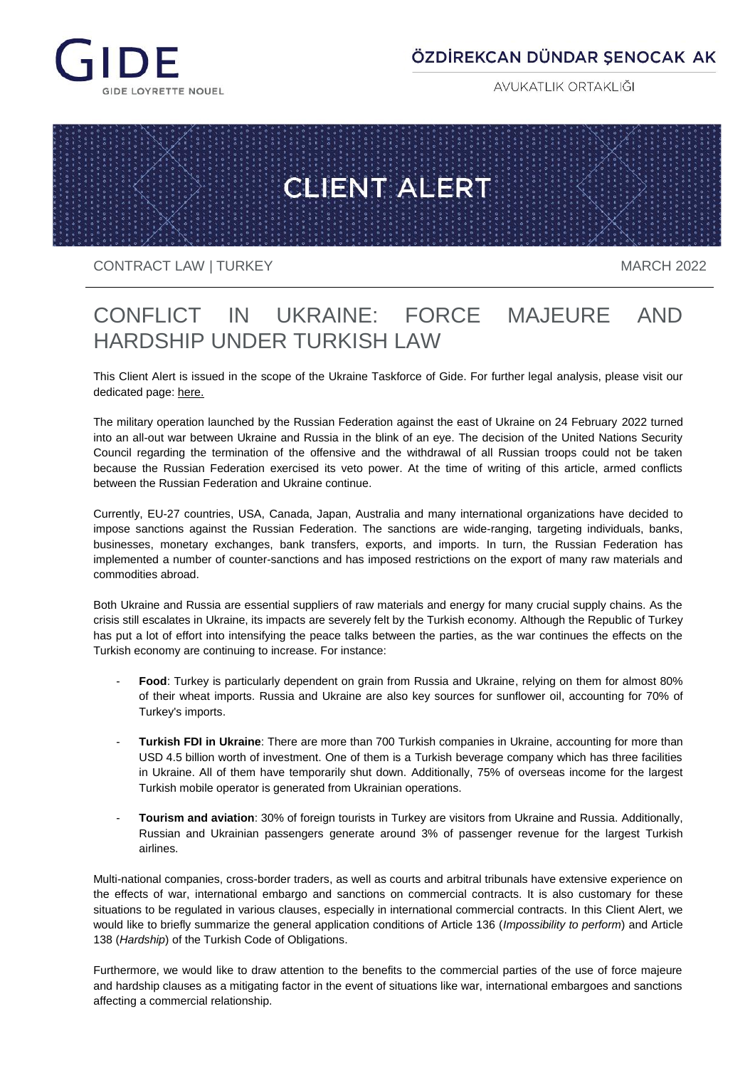

# ÖZDİREKCAN DÜNDAR ŞENOCAK AK

AVUKATLIK ORTAKLIĞI



CONTRACT LAW | TURKEY MARCH 2022

# CONFLICT IN UKRAINE: FORCE MAJEURE AND HARDSHIP UNDER TURKISH LAW

This Client Alert is issued in the scope of the Ukraine Taskforce of Gide. For further legal analysis, please visit our dedicated page: [here.](https://www.gide.com/en/news/gide-alert-ukraine-taskforce)

The military operation launched by the Russian Federation against the east of Ukraine on 24 February 2022 turned into an all-out war between Ukraine and Russia in the blink of an eye. The decision of the United Nations Security Council regarding the termination of the offensive and the withdrawal of all Russian troops could not be taken because the Russian Federation exercised its veto power. At the time of writing of this article, armed conflicts between the Russian Federation and Ukraine continue.

Currently, EU-27 countries, USA, Canada, Japan, Australia and many international organizations have decided to impose sanctions against the Russian Federation. The sanctions are wide-ranging, targeting individuals, banks, businesses, monetary exchanges, bank transfers, exports, and imports. In turn, the Russian Federation has implemented a number of counter-sanctions and has imposed restrictions on the export of many raw materials and commodities abroad.

Both Ukraine and Russia are essential suppliers of raw materials and energy for many crucial supply chains. As the crisis still escalates in Ukraine, its impacts are severely felt by the Turkish economy. Although the Republic of Turkey has put a lot of effort into intensifying the peace talks between the parties, as the war continues the effects on the Turkish economy are continuing to increase. For instance:

- Food: Turkey is particularly dependent on grain from Russia and Ukraine, relying on them for almost 80% of their wheat imports. Russia and Ukraine are also key sources for sunflower oil, accounting for 70% of Turkey's imports.
- **Turkish FDI in Ukraine**: There are more than 700 Turkish companies in Ukraine, accounting for more than USD 4.5 billion worth of investment. One of them is a Turkish beverage company which has three facilities in Ukraine. All of them have temporarily shut down. Additionally, 75% of overseas income for the largest Turkish mobile operator is generated from Ukrainian operations.
- **Tourism and aviation**: 30% of foreign tourists in Turkey are visitors from Ukraine and Russia. Additionally, Russian and Ukrainian passengers generate around 3% of passenger revenue for the largest Turkish airlines.

Multi-national companies, cross-border traders, as well as courts and arbitral tribunals have extensive experience on the effects of war, international embargo and sanctions on commercial contracts. It is also customary for these situations to be regulated in various clauses, especially in international commercial contracts. In this Client Alert, we would like to briefly summarize the general application conditions of Article 136 (*Impossibility to perform*) and Article 138 (*Hardship*) of the Turkish Code of Obligations.

Furthermore, we would like to draw attention to the benefits to the commercial parties of the use of force majeure and hardship clauses as a mitigating factor in the event of situations like war, international embargoes and sanctions affecting a commercial relationship.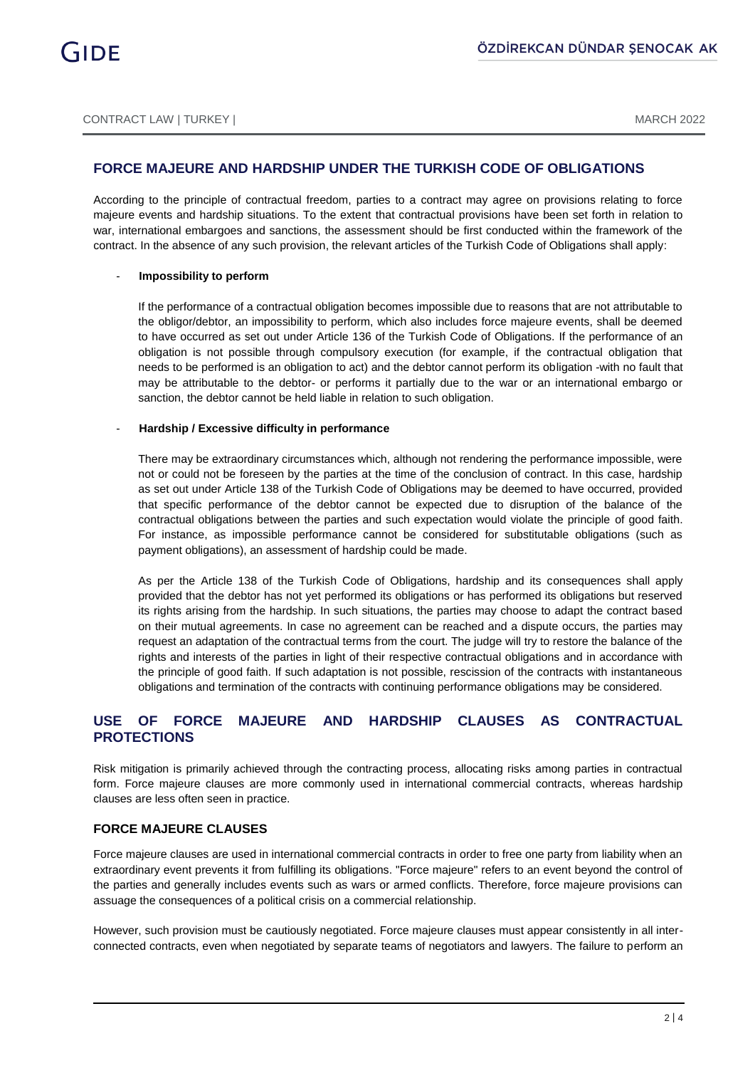# **FORCE MAJEURE AND HARDSHIP UNDER THE TURKISH CODE OF OBLIGATIONS**

According to the principle of contractual freedom, parties to a contract may agree on provisions relating to force majeure events and hardship situations. To the extent that contractual provisions have been set forth in relation to war, international embargoes and sanctions, the assessment should be first conducted within the framework of the contract. In the absence of any such provision, the relevant articles of the Turkish Code of Obligations shall apply:

#### - **Impossibility to perform**

If the performance of a contractual obligation becomes impossible due to reasons that are not attributable to the obligor/debtor, an impossibility to perform, which also includes force majeure events, shall be deemed to have occurred as set out under Article 136 of the Turkish Code of Obligations. If the performance of an obligation is not possible through compulsory execution (for example, if the contractual obligation that needs to be performed is an obligation to act) and the debtor cannot perform its obligation -with no fault that may be attributable to the debtor- or performs it partially due to the war or an international embargo or sanction, the debtor cannot be held liable in relation to such obligation.

#### **Hardship / Excessive difficulty in performance**

There may be extraordinary circumstances which, although not rendering the performance impossible, were not or could not be foreseen by the parties at the time of the conclusion of contract. In this case, hardship as set out under Article 138 of the Turkish Code of Obligations may be deemed to have occurred, provided that specific performance of the debtor cannot be expected due to disruption of the balance of the contractual obligations between the parties and such expectation would violate the principle of good faith. For instance, as impossible performance cannot be considered for substitutable obligations (such as payment obligations), an assessment of hardship could be made.

As per the Article 138 of the Turkish Code of Obligations, hardship and its consequences shall apply provided that the debtor has not yet performed its obligations or has performed its obligations but reserved its rights arising from the hardship. In such situations, the parties may choose to adapt the contract based on their mutual agreements. In case no agreement can be reached and a dispute occurs, the parties may request an adaptation of the contractual terms from the court. The judge will try to restore the balance of the rights and interests of the parties in light of their respective contractual obligations and in accordance with the principle of good faith. If such adaptation is not possible, rescission of the contracts with instantaneous obligations and termination of the contracts with continuing performance obligations may be considered.

# **USE OF FORCE MAJEURE AND HARDSHIP CLAUSES AS CONTRACTUAL PROTECTIONS**

Risk mitigation is primarily achieved through the contracting process, allocating risks among parties in contractual form. Force majeure clauses are more commonly used in international commercial contracts, whereas hardship clauses are less often seen in practice.

## **FORCE MAJEURE CLAUSES**

Force majeure clauses are used in international commercial contracts in order to free one party from liability when an extraordinary event prevents it from fulfilling its obligations. "Force majeure" refers to an event beyond the control of the parties and generally includes events such as wars or armed conflicts. Therefore, force majeure provisions can assuage the consequences of a political crisis on a commercial relationship.

However, such provision must be cautiously negotiated. Force majeure clauses must appear consistently in all interconnected contracts, even when negotiated by separate teams of negotiators and lawyers. The failure to perform an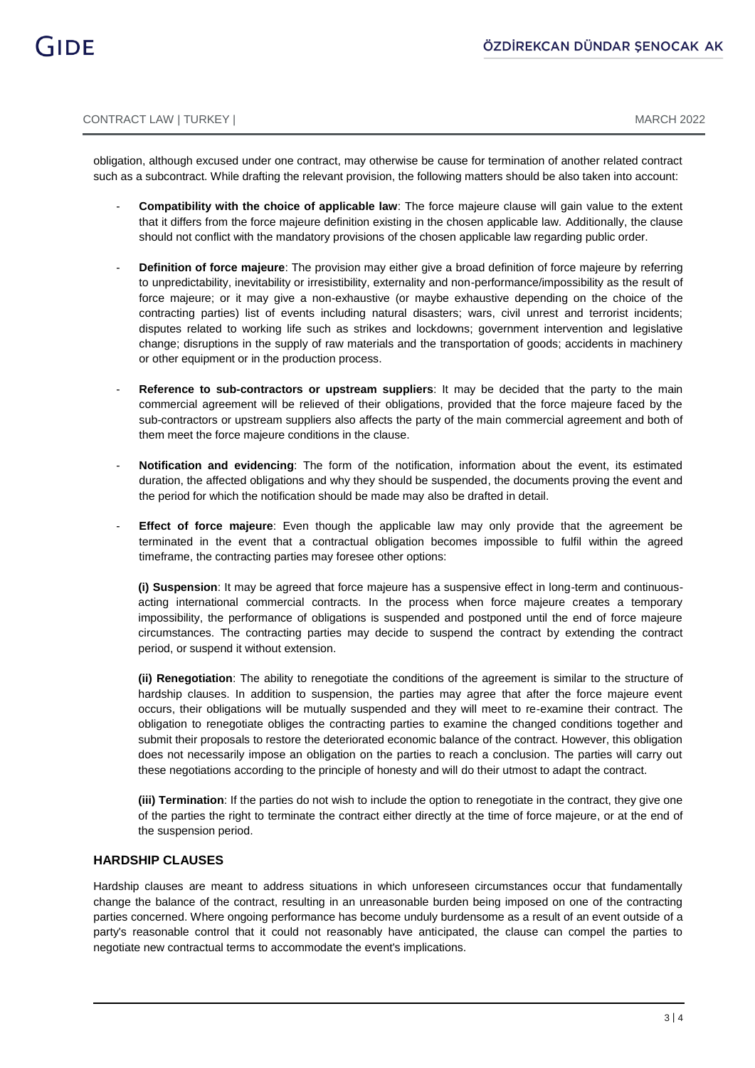obligation, although excused under one contract, may otherwise be cause for termination of another related contract such as a subcontract. While drafting the relevant provision, the following matters should be also taken into account:

- **Compatibility with the choice of applicable law**: The force majeure clause will gain value to the extent that it differs from the force majeure definition existing in the chosen applicable law. Additionally, the clause should not conflict with the mandatory provisions of the chosen applicable law regarding public order.
- **Definition of force majeure**: The provision may either give a broad definition of force majeure by referring to unpredictability, inevitability or irresistibility, externality and non-performance/impossibility as the result of force majeure; or it may give a non-exhaustive (or maybe exhaustive depending on the choice of the contracting parties) list of events including natural disasters; wars, civil unrest and terrorist incidents; disputes related to working life such as strikes and lockdowns; government intervention and legislative change; disruptions in the supply of raw materials and the transportation of goods; accidents in machinery or other equipment or in the production process.
- **Reference to sub-contractors or upstream suppliers:** It may be decided that the party to the main commercial agreement will be relieved of their obligations, provided that the force majeure faced by the sub-contractors or upstream suppliers also affects the party of the main commercial agreement and both of them meet the force majeure conditions in the clause.
- **Notification and evidencing**: The form of the notification, information about the event, its estimated duration, the affected obligations and why they should be suspended, the documents proving the event and the period for which the notification should be made may also be drafted in detail.
- **Effect of force majeure**: Even though the applicable law may only provide that the agreement be terminated in the event that a contractual obligation becomes impossible to fulfil within the agreed timeframe, the contracting parties may foresee other options:

**(i) Suspension**: It may be agreed that force majeure has a suspensive effect in long-term and continuousacting international commercial contracts. In the process when force majeure creates a temporary impossibility, the performance of obligations is suspended and postponed until the end of force majeure circumstances. The contracting parties may decide to suspend the contract by extending the contract period, or suspend it without extension.

**(ii) Renegotiation**: The ability to renegotiate the conditions of the agreement is similar to the structure of hardship clauses. In addition to suspension, the parties may agree that after the force majeure event occurs, their obligations will be mutually suspended and they will meet to re-examine their contract. The obligation to renegotiate obliges the contracting parties to examine the changed conditions together and submit their proposals to restore the deteriorated economic balance of the contract. However, this obligation does not necessarily impose an obligation on the parties to reach a conclusion. The parties will carry out these negotiations according to the principle of honesty and will do their utmost to adapt the contract.

**(iii) Termination**: If the parties do not wish to include the option to renegotiate in the contract, they give one of the parties the right to terminate the contract either directly at the time of force majeure, or at the end of the suspension period.

## **HARDSHIP CLAUSES**

Hardship clauses are meant to address situations in which unforeseen circumstances occur that fundamentally change the balance of the contract, resulting in an unreasonable burden being imposed on one of the contracting parties concerned. Where ongoing performance has become unduly burdensome as a result of an event outside of a party's reasonable control that it could not reasonably have anticipated, the clause can compel the parties to negotiate new contractual terms to accommodate the event's implications.